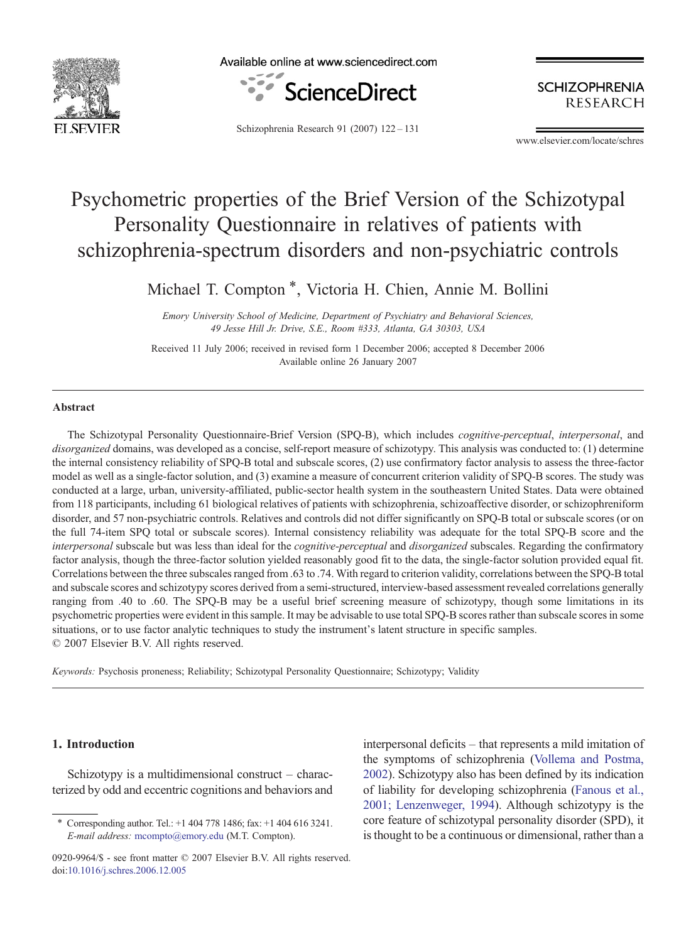

Available online at www.sciencedirect.com



**SCHIZOPHRENIA RESEARCH** 

Schizophrenia Research 91 (2007) 122–131

www.elsevier.com/locate/schres

# Psychometric properties of the Brief Version of the Schizotypal Personality Questionnaire in relatives of patients with schizophrenia-spectrum disorders and non-psychiatric controls

Michael T. Compton ⁎, Victoria H. Chien, Annie M. Bollini

Emory University School of Medicine, Department of Psychiatry and Behavioral Sciences, 49 Jesse Hill Jr. Drive, S.E., Room #333, Atlanta, GA 30303, USA

Received 11 July 2006; received in revised form 1 December 2006; accepted 8 December 2006 Available online 26 January 2007

#### Abstract

The Schizotypal Personality Questionnaire-Brief Version (SPQ-B), which includes cognitive-perceptual, interpersonal, and disorganized domains, was developed as a concise, self-report measure of schizotypy. This analysis was conducted to: (1) determine the internal consistency reliability of SPQ-B total and subscale scores, (2) use confirmatory factor analysis to assess the three-factor model as well as a single-factor solution, and (3) examine a measure of concurrent criterion validity of SPQ-B scores. The study was conducted at a large, urban, university-affiliated, public-sector health system in the southeastern United States. Data were obtained from 118 participants, including 61 biological relatives of patients with schizophrenia, schizoaffective disorder, or schizophreniform disorder, and 57 non-psychiatric controls. Relatives and controls did not differ significantly on SPQ-B total or subscale scores (or on the full 74-item SPQ total or subscale scores). Internal consistency reliability was adequate for the total SPQ-B score and the interpersonal subscale but was less than ideal for the *cognitive-perceptual* and *disorganized* subscales. Regarding the confirmatory factor analysis, though the three-factor solution yielded reasonably good fit to the data, the single-factor solution provided equal fit. Correlations between the three subscales ranged from .63 to .74. With regard to criterion validity, correlations between the SPQ-B total and subscale scores and schizotypy scores derived from a semi-structured, interview-based assessment revealed correlations generally ranging from .40 to .60. The SPQ-B may be a useful brief screening measure of schizotypy, though some limitations in its psychometric properties were evident in this sample. It may be advisable to use total SPQ-B scores rather than subscale scores in some situations, or to use factor analytic techniques to study the instrument's latent structure in specific samples. © 2007 Elsevier B.V. All rights reserved.

Keywords: Psychosis proneness; Reliability; Schizotypal Personality Questionnaire; Schizotypy; Validity

# 1. Introduction

Schizotypy is a multidimensional construct – characterized by odd and eccentric cognitions and behaviors and interpersonal deficits – that represents a mild imitation of the symptoms of schizophrenia [\(Vollema and Postma,](#page-9-0) [2002\)](#page-9-0). Schizotypy also has been defined by its indication of liability for developing schizophrenia [\(Fanous et al.,](#page-9-0) [2001; Lenzenweger, 1994\)](#page-9-0). Although schizotypy is the core feature of schizotypal personality disorder (SPD), it is thought to be a continuous or dimensional, rather than a

<sup>⁎</sup> Corresponding author. Tel.: +1 404 778 1486; fax: +1 404 616 3241. E-mail address: [mcompto@emory.edu](mailto:mcompto@emory.edu) (M.T. Compton).

<sup>0920-9964/\$ -</sup> see front matter © 2007 Elsevier B.V. All rights reserved. doi[:10.1016/j.schres.2006.12.005](http://dx.doi.org/10.1016/j.schres.2006.12.005)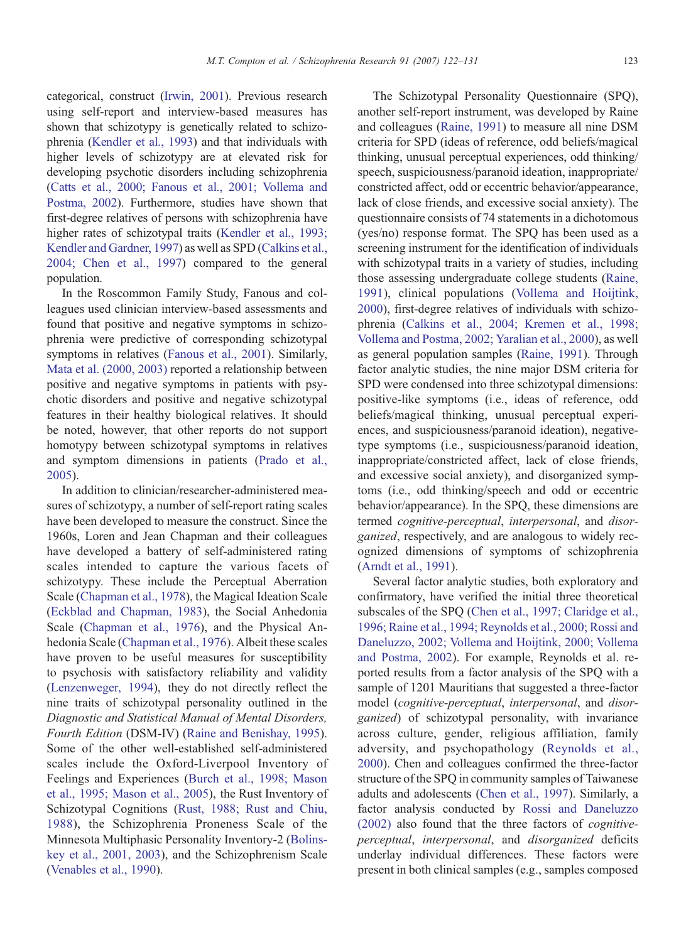categorical, construct [\(Irwin, 2001\)](#page-9-0). Previous research using self-report and interview-based measures has shown that schizotypy is genetically related to schizophrenia [\(Kendler et al., 1993](#page-9-0)) and that individuals with higher levels of schizotypy are at elevated risk for developing psychotic disorders including schizophrenia [\(Catts et al., 2000; Fanous et al., 2001; Vollema and](#page-8-0) [Postma, 2002](#page-8-0)). Furthermore, studies have shown that first-degree relatives of persons with schizophrenia have higher rates of schizotypal traits ([Kendler et al., 1993;](#page-9-0) [Kendler and Gardner, 1997\)](#page-9-0) as well as SPD [\(Calkins et al.,](#page-8-0) [2004; Chen et al., 1997](#page-8-0)) compared to the general population.

In the Roscommon Family Study, Fanous and colleagues used clinician interview-based assessments and found that positive and negative symptoms in schizophrenia were predictive of corresponding schizotypal symptoms in relatives [\(Fanous et al., 2001](#page-9-0)). Similarly, [Mata et al. \(2000, 2003\)](#page-9-0) reported a relationship between positive and negative symptoms in patients with psychotic disorders and positive and negative schizotypal features in their healthy biological relatives. It should be noted, however, that other reports do not support homotypy between schizotypal symptoms in relatives and symptom dimensions in patients [\(Prado et al.,](#page-9-0) [2005\)](#page-9-0).

In addition to clinician/researcher-administered measures of schizotypy, a number of self-report rating scales have been developed to measure the construct. Since the 1960s, Loren and Jean Chapman and their colleagues have developed a battery of self-administered rating scales intended to capture the various facets of schizotypy. These include the Perceptual Aberration Scale [\(Chapman et al., 1978](#page-8-0)), the Magical Ideation Scale [\(Eckblad and Chapman, 1983\)](#page-9-0), the Social Anhedonia Scale [\(Chapman et al., 1976\)](#page-8-0), and the Physical Anhedonia Scale [\(Chapman et al., 1976\)](#page-8-0). Albeit these scales have proven to be useful measures for susceptibility to psychosis with satisfactory reliability and validity [\(Lenzenweger, 1994](#page-9-0)), they do not directly reflect the nine traits of schizotypal personality outlined in the Diagnostic and Statistical Manual of Mental Disorders, Fourth Edition (DSM-IV) [\(Raine and Benishay, 1995](#page-9-0)). Some of the other well-established self-administered scales include the Oxford-Liverpool Inventory of Feelings and Experiences [\(Burch et al., 1998; Mason](#page-8-0) [et al., 1995; Mason et al., 2005\)](#page-8-0), the Rust Inventory of Schizotypal Cognitions [\(Rust, 1988; Rust and Chiu,](#page-9-0) [1988\)](#page-9-0), the Schizophrenia Proneness Scale of the Minnesota Multiphasic Personality Inventory-2 ([Bolins](#page-8-0)[key et al., 2001, 2003\)](#page-8-0), and the Schizophrenism Scale [\(Venables et al., 1990](#page-9-0)).

The Schizotypal Personality Questionnaire (SPQ), another self-report instrument, was developed by Raine and colleagues [\(Raine, 1991\)](#page-9-0) to measure all nine DSM criteria for SPD (ideas of reference, odd beliefs/magical thinking, unusual perceptual experiences, odd thinking/ speech, suspiciousness/paranoid ideation, inappropriate/ constricted affect, odd or eccentric behavior/appearance, lack of close friends, and excessive social anxiety). The questionnaire consists of 74 statements in a dichotomous (yes/no) response format. The SPQ has been used as a screening instrument for the identification of individuals with schizotypal traits in a variety of studies, including those assessing undergraduate college students ([Raine,](#page-9-0) [1991](#page-9-0)), clinical populations ([Vollema and Hoijtink,](#page-9-0) [2000\)](#page-9-0), first-degree relatives of individuals with schizophrenia [\(Calkins et al., 2004; Kremen et al., 1998;](#page-8-0) [Vollema and Postma, 2002; Yaralian et al., 2000](#page-8-0)), as well as general population samples ([Raine, 1991\)](#page-9-0). Through factor analytic studies, the nine major DSM criteria for SPD were condensed into three schizotypal dimensions: positive-like symptoms (i.e., ideas of reference, odd beliefs/magical thinking, unusual perceptual experiences, and suspiciousness/paranoid ideation), negativetype symptoms (i.e., suspiciousness/paranoid ideation, inappropriate/constricted affect, lack of close friends, and excessive social anxiety), and disorganized symptoms (i.e., odd thinking/speech and odd or eccentric behavior/appearance). In the SPQ, these dimensions are termed cognitive-perceptual, interpersonal, and disorganized, respectively, and are analogous to widely recognized dimensions of symptoms of schizophrenia [\(Arndt et al., 1991](#page-8-0)).

Several factor analytic studies, both exploratory and confirmatory, have verified the initial three theoretical subscales of the SPQ [\(Chen et al., 1997; Claridge et al.,](#page-8-0) [1996; Raine et al., 1994; Reynolds et al., 2000; Rossi and](#page-8-0) [Daneluzzo, 2002; Vollema and Hoijtink, 2000; Vollema](#page-8-0) [and Postma, 2002\)](#page-8-0). For example, Reynolds et al. reported results from a factor analysis of the SPQ with a sample of 1201 Mauritians that suggested a three-factor model (cognitive-perceptual, interpersonal, and disorganized) of schizotypal personality, with invariance across culture, gender, religious affiliation, family adversity, and psychopathology ([Reynolds et al.,](#page-9-0) [2000\)](#page-9-0). Chen and colleagues confirmed the three-factor structure of the SPQ in community samples of Taiwanese adults and adolescents [\(Chen et al., 1997](#page-8-0)). Similarly, a factor analysis conducted by [Rossi and Daneluzzo](#page-9-0) [\(2002\)](#page-9-0) also found that the three factors of cognitiveperceptual, interpersonal, and disorganized deficits underlay individual differences. These factors were present in both clinical samples (e.g., samples composed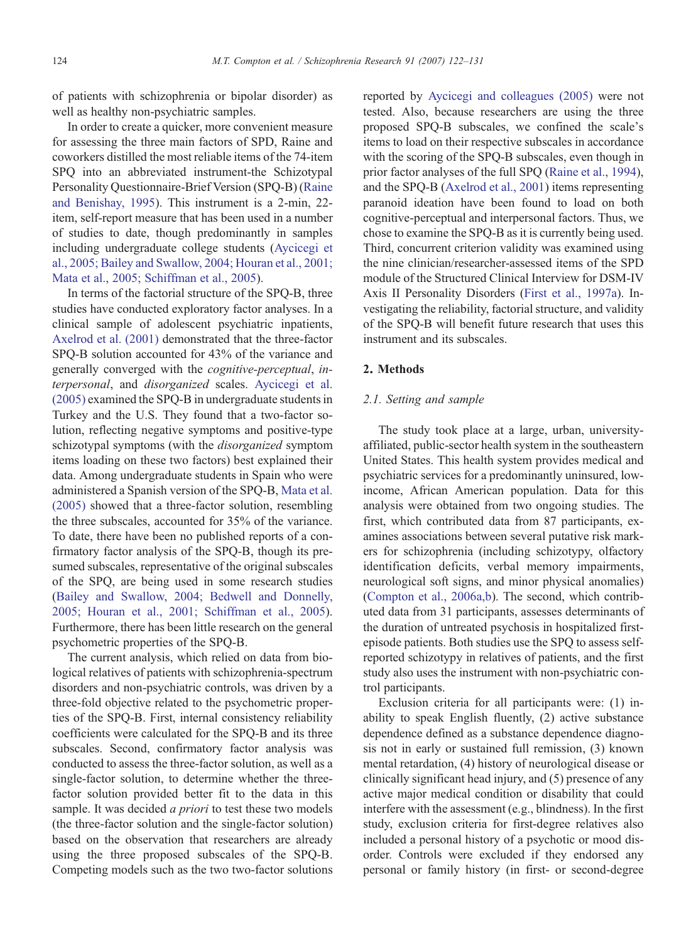of patients with schizophrenia or bipolar disorder) as well as healthy non-psychiatric samples.

In order to create a quicker, more convenient measure for assessing the three main factors of SPD, Raine and coworkers distilled the most reliable items of the 74-item SPQ into an abbreviated instrument-the Schizotypal Personality Questionnaire-Brief Version (SPQ-B) [\(Raine](#page-9-0) [and Benishay, 1995](#page-9-0)). This instrument is a 2-min, 22 item, self-report measure that has been used in a number of studies to date, though predominantly in samples including undergraduate college students [\(Aycicegi et](#page-8-0) [al., 2005; Bailey and Swallow, 2004; Houran et al., 2001;](#page-8-0) [Mata et al., 2005; Schiffman et al., 2005](#page-8-0)).

In terms of the factorial structure of the SPQ-B, three studies have conducted exploratory factor analyses. In a clinical sample of adolescent psychiatric inpatients, [Axelrod et al. \(2001\)](#page-8-0) demonstrated that the three-factor SPQ-B solution accounted for 43% of the variance and generally converged with the cognitive-perceptual, interpersonal, and disorganized scales. [Aycicegi et al.](#page-8-0) [\(2005\)](#page-8-0) examined the SPQ-B in undergraduate students in Turkey and the U.S. They found that a two-factor solution, reflecting negative symptoms and positive-type schizotypal symptoms (with the *disorganized* symptom items loading on these two factors) best explained their data. Among undergraduate students in Spain who were administered a Spanish version of the SPQ-B, [Mata et al.](#page-9-0) [\(2005\)](#page-9-0) showed that a three-factor solution, resembling the three subscales, accounted for 35% of the variance. To date, there have been no published reports of a confirmatory factor analysis of the SPQ-B, though its presumed subscales, representative of the original subscales of the SPQ, are being used in some research studies [\(Bailey and Swallow, 2004; Bedwell and Donnelly,](#page-8-0) [2005; Houran et al., 2001; Schiffman et al., 2005\)](#page-8-0). Furthermore, there has been little research on the general psychometric properties of the SPQ-B.

The current analysis, which relied on data from biological relatives of patients with schizophrenia-spectrum disorders and non-psychiatric controls, was driven by a three-fold objective related to the psychometric properties of the SPQ-B. First, internal consistency reliability coefficients were calculated for the SPQ-B and its three subscales. Second, confirmatory factor analysis was conducted to assess the three-factor solution, as well as a single-factor solution, to determine whether the threefactor solution provided better fit to the data in this sample. It was decided *a priori* to test these two models (the three-factor solution and the single-factor solution) based on the observation that researchers are already using the three proposed subscales of the SPQ-B. Competing models such as the two two-factor solutions

reported by [Aycicegi and colleagues \(2005\)](#page-8-0) were not tested. Also, because researchers are using the three proposed SPQ-B subscales, we confined the scale's items to load on their respective subscales in accordance with the scoring of the SPQ-B subscales, even though in prior factor analyses of the full SPQ ([Raine et al., 1994\)](#page-9-0), and the SPQ-B ([Axelrod et al., 2001](#page-8-0)) items representing paranoid ideation have been found to load on both cognitive-perceptual and interpersonal factors. Thus, we chose to examine the SPQ-B as it is currently being used. Third, concurrent criterion validity was examined using the nine clinician/researcher-assessed items of the SPD module of the Structured Clinical Interview for DSM-IV Axis II Personality Disorders [\(First et al., 1997a](#page-9-0)). Investigating the reliability, factorial structure, and validity of the SPQ-B will benefit future research that uses this instrument and its subscales.

## 2. Methods

# 2.1. Setting and sample

The study took place at a large, urban, universityaffiliated, public-sector health system in the southeastern United States. This health system provides medical and psychiatric services for a predominantly uninsured, lowincome, African American population. Data for this analysis were obtained from two ongoing studies. The first, which contributed data from 87 participants, examines associations between several putative risk markers for schizophrenia (including schizotypy, olfactory identification deficits, verbal memory impairments, neurological soft signs, and minor physical anomalies) [\(Compton et al., 2006a,b](#page-9-0)). The second, which contributed data from 31 participants, assesses determinants of the duration of untreated psychosis in hospitalized firstepisode patients. Both studies use the SPQ to assess selfreported schizotypy in relatives of patients, and the first study also uses the instrument with non-psychiatric control participants.

Exclusion criteria for all participants were: (1) inability to speak English fluently, (2) active substance dependence defined as a substance dependence diagnosis not in early or sustained full remission, (3) known mental retardation, (4) history of neurological disease or clinically significant head injury, and (5) presence of any active major medical condition or disability that could interfere with the assessment (e.g., blindness). In the first study, exclusion criteria for first-degree relatives also included a personal history of a psychotic or mood disorder. Controls were excluded if they endorsed any personal or family history (in first- or second-degree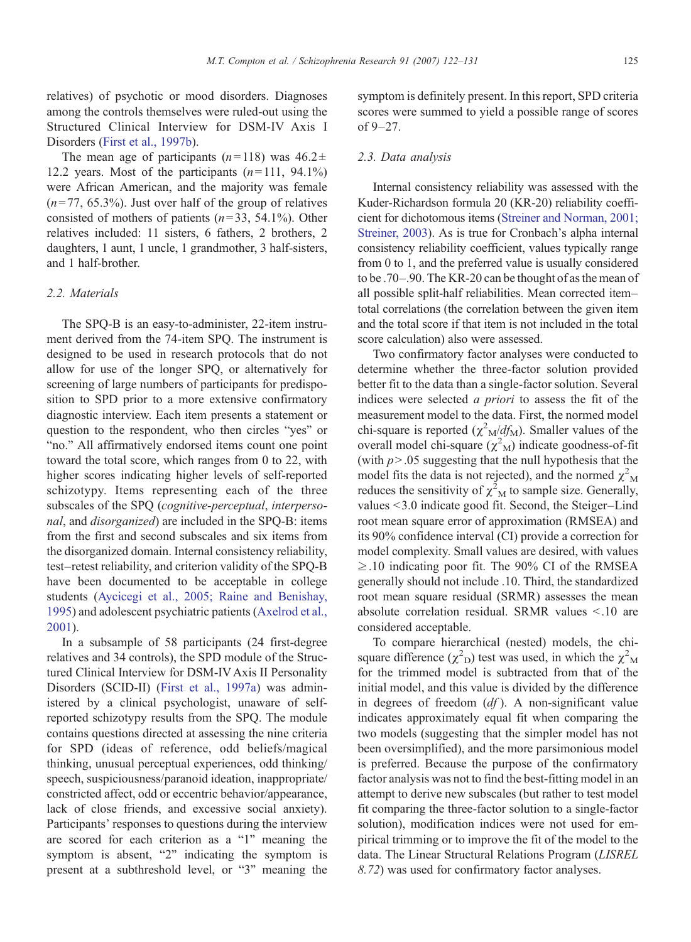relatives) of psychotic or mood disorders. Diagnoses among the controls themselves were ruled-out using the Structured Clinical Interview for DSM-IV Axis I Disorders [\(First et al., 1997b](#page-9-0)).

The mean age of participants  $(n=118)$  was  $46.2 \pm$ 12.2 years. Most of the participants  $(n=111, 94.1\%)$ were African American, and the majority was female  $(n= 77, 65.3\%)$ . Just over half of the group of relatives consisted of mothers of patients  $(n=33, 54.1\%)$ . Other relatives included: 11 sisters, 6 fathers, 2 brothers, 2 daughters, 1 aunt, 1 uncle, 1 grandmother, 3 half-sisters, and 1 half-brother.

## 2.2. Materials

The SPQ-B is an easy-to-administer, 22-item instrument derived from the 74-item SPQ. The instrument is designed to be used in research protocols that do not allow for use of the longer SPQ, or alternatively for screening of large numbers of participants for predisposition to SPD prior to a more extensive confirmatory diagnostic interview. Each item presents a statement or question to the respondent, who then circles "yes" or "no." All affirmatively endorsed items count one point toward the total score, which ranges from 0 to 22, with higher scores indicating higher levels of self-reported schizotypy. Items representing each of the three subscales of the SPQ (cognitive-perceptual, interpersonal, and disorganized) are included in the SPQ-B: items from the first and second subscales and six items from the disorganized domain. Internal consistency reliability, test–retest reliability, and criterion validity of the SPQ-B have been documented to be acceptable in college students [\(Aycicegi et al., 2005; Raine and Benishay,](#page-8-0) [1995\)](#page-8-0) and adolescent psychiatric patients ([Axelrod et al.,](#page-8-0) [2001\)](#page-8-0).

In a subsample of 58 participants (24 first-degree relatives and 34 controls), the SPD module of the Structured Clinical Interview for DSM-IV Axis II Personality Disorders (SCID-II) ([First et al., 1997a](#page-9-0)) was administered by a clinical psychologist, unaware of selfreported schizotypy results from the SPQ. The module contains questions directed at assessing the nine criteria for SPD (ideas of reference, odd beliefs/magical thinking, unusual perceptual experiences, odd thinking/ speech, suspiciousness/paranoid ideation, inappropriate/ constricted affect, odd or eccentric behavior/appearance, lack of close friends, and excessive social anxiety). Participants' responses to questions during the interview are scored for each criterion as a "1" meaning the symptom is absent, "2" indicating the symptom is present at a subthreshold level, or "3" meaning the

symptom is definitely present. In this report, SPD criteria scores were summed to yield a possible range of scores of 9–27.

#### 2.3. Data analysis

Internal consistency reliability was assessed with the Kuder-Richardson formula 20 (KR-20) reliability coefficient for dichotomous items [\(Streiner and Norman, 2001;](#page-9-0) [Streiner, 2003](#page-9-0)). As is true for Cronbach's alpha internal consistency reliability coefficient, values typically range from 0 to 1, and the preferred value is usually considered to be .70–.90. The KR-20 can be thought of as the mean of all possible split-half reliabilities. Mean corrected item– total correlations (the correlation between the given item and the total score if that item is not included in the total score calculation) also were assessed.

Two confirmatory factor analyses were conducted to determine whether the three-factor solution provided better fit to the data than a single-factor solution. Several indices were selected a priori to assess the fit of the measurement model to the data. First, the normed model chi-square is reported  $(\chi^2$ <sub>M</sub>/df<sub>M</sub>). Smaller values of the overall model chi-square  $(\chi^2)_M$  indicate goodness-of-fit (with  $p > 0.05$  suggesting that the null hypothesis that the model fits the data is not rejected), and the normed  $\chi^2$ <sub>M</sub> reduces the sensitivity of  $\chi^2$ <sub>M</sub> to sample size. Generally, values <3.0 indicate good fit. Second, the Steiger–Lind root mean square error of approximation (RMSEA) and its 90% confidence interval (CI) provide a correction for model complexity. Small values are desired, with values  $\geq$ .10 indicating poor fit. The 90% CI of the RMSEA generally should not include .10. Third, the standardized root mean square residual (SRMR) assesses the mean absolute correlation residual. SRMR values  $\le$ .10 are considered acceptable.

To compare hierarchical (nested) models, the chisquare difference  $(\chi^2_D)$  test was used, in which the  $\chi^2$ <sub>M</sub> for the trimmed model is subtracted from that of the initial model, and this value is divided by the difference in degrees of freedom  $(df)$ . A non-significant value indicates approximately equal fit when comparing the two models (suggesting that the simpler model has not been oversimplified), and the more parsimonious model is preferred. Because the purpose of the confirmatory factor analysis was not to find the best-fitting model in an attempt to derive new subscales (but rather to test model fit comparing the three-factor solution to a single-factor solution), modification indices were not used for empirical trimming or to improve the fit of the model to the data. The Linear Structural Relations Program (LISREL 8.72) was used for confirmatory factor analyses.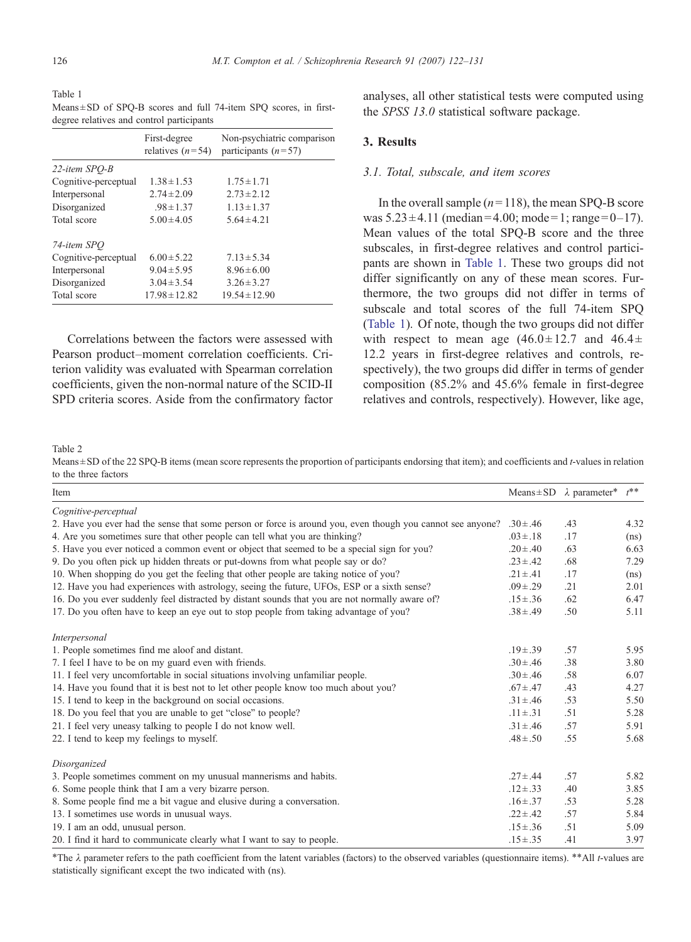<span id="page-4-0"></span>Table 1  $Means \pm SD$  of SPO-B scores and full 74-item SPO scores, in firstdegree relatives and control participants

|                      | First-degree<br>relatives $(n=54)$ | Non-psychiatric comparison<br>participants $(n=57)$ |
|----------------------|------------------------------------|-----------------------------------------------------|
| 22-item SPO-B        |                                    |                                                     |
| Cognitive-perceptual | $1.38 \pm 1.53$                    | $1.75 \pm 1.71$                                     |
| Interpersonal        | $2.74 \pm 2.09$                    | $2.73 \pm 2.12$                                     |
| Disorganized         | $.98 \pm 1.37$                     | $1.13 \pm 1.37$                                     |
| Total score          | $5.00 \pm 4.05$                    | $5.64 \pm 4.21$                                     |
| 74-item SPO          |                                    |                                                     |
| Cognitive-perceptual | $6.00 \pm 5.22$                    | $7.13 \pm 5.34$                                     |
| Interpersonal        | $9.04 \pm 5.95$                    | $8.96 \pm 6.00$                                     |
| Disorganized         | $3.04 \pm 3.54$                    | $3.26 \pm 3.27$                                     |
| Total score          | $17.98 \pm 12.82$                  | $19.54 \pm 12.90$                                   |

Correlations between the factors were assessed with Pearson product–moment correlation coefficients. Criterion validity was evaluated with Spearman correlation coefficients, given the non-normal nature of the SCID-II SPD criteria scores. Aside from the confirmatory factor analyses, all other statistical tests were computed using the SPSS 13.0 statistical software package.

# 3. Results

## 3.1. Total, subscale, and item scores

In the overall sample  $(n=118)$ , the mean SPO-B score was  $5.23 \pm 4.11$  (median = 4.00; mode = 1; range = 0–17). Mean values of the total SPQ-B score and the three subscales, in first-degree relatives and control participants are shown in Table 1. These two groups did not differ significantly on any of these mean scores. Furthermore, the two groups did not differ in terms of subscale and total scores of the full 74-item SPQ (Table 1). Of note, though the two groups did not differ with respect to mean age  $(46.0 \pm 12.7 \text{ and } 46.4 \pm \text{)}$ 12.2 years in first-degree relatives and controls, respectively), the two groups did differ in terms of gender composition (85.2% and 45.6% female in first-degree relatives and controls, respectively). However, like age,

Table 2

Means $\pm$ SD of the 22 SPQ-B items (mean score represents the proportion of participants endorsing that item); and coefficients and t-values in relation to the three factors

| Item                                                                                                       |               | Means $\pm$ SD $\lambda$ parameter* | $t^{**}$ |
|------------------------------------------------------------------------------------------------------------|---------------|-------------------------------------|----------|
| Cognitive-perceptual                                                                                       |               |                                     |          |
| 2. Have you ever had the sense that some person or force is around you, even though you cannot see anyone? | $.30 \pm .46$ | .43                                 | 4.32     |
| 4. Are you sometimes sure that other people can tell what you are thinking?                                | $.03 \pm .18$ | .17                                 | (ns)     |
| 5. Have you ever noticed a common event or object that seemed to be a special sign for you?                | $.20 \pm .40$ | .63                                 | 6.63     |
| 9. Do you often pick up hidden threats or put-downs from what people say or do?                            | $.23 \pm .42$ | .68                                 | 7.29     |
| 10. When shopping do you get the feeling that other people are taking notice of you?                       | $.21 \pm .41$ | .17                                 | (ns)     |
| 12. Have you had experiences with astrology, seeing the future, UFOs, ESP or a sixth sense?                | $.09 \pm .29$ | .21                                 | 2.01     |
| 16. Do you ever suddenly feel distracted by distant sounds that you are not normally aware of?             | $.15 \pm .36$ | .62                                 | 6.47     |
| 17. Do you often have to keep an eye out to stop people from taking advantage of you?                      | $.38 \pm .49$ | .50                                 | 5.11     |
| Interpersonal                                                                                              |               |                                     |          |
| 1. People sometimes find me aloof and distant.                                                             | $.19 \pm .39$ | .57                                 | 5.95     |
| 7. I feel I have to be on my guard even with friends.                                                      | $.30 \pm .46$ | .38                                 | 3.80     |
| 11. I feel very uncomfortable in social situations involving unfamiliar people.                            | $.30 \pm .46$ | .58                                 | 6.07     |
| 14. Have you found that it is best not to let other people know too much about you?                        | $.67 \pm .47$ | .43                                 | 4.27     |
| 15. I tend to keep in the background on social occasions.                                                  | $.31 \pm .46$ | .53                                 | 5.50     |
| 18. Do you feel that you are unable to get "close" to people?                                              | $.11 \pm .31$ | .51                                 | 5.28     |
| 21. I feel very uneasy talking to people I do not know well.                                               | $.31 \pm .46$ | .57                                 | 5.91     |
| 22. I tend to keep my feelings to myself.                                                                  | $.48 \pm .50$ | .55                                 | 5.68     |
| Disorganized                                                                                               |               |                                     |          |
| 3. People sometimes comment on my unusual mannerisms and habits.                                           | $.27 \pm .44$ | .57                                 | 5.82     |
| 6. Some people think that I am a very bizarre person.                                                      | $.12 \pm .33$ | .40                                 | 3.85     |
| 8. Some people find me a bit vague and elusive during a conversation.                                      | $.16 \pm .37$ | .53                                 | 5.28     |
| 13. I sometimes use words in unusual ways.                                                                 | $.22 \pm .42$ | .57                                 | 5.84     |
| 19. I am an odd, unusual person.                                                                           | $.15 \pm .36$ | .51                                 | 5.09     |
| 20. I find it hard to communicate clearly what I want to say to people.                                    | $.15 \pm .35$ | .41                                 | 3.97     |

*\**The λ parameter refers to the path coefficient from the latent variables (factors) to the observed variables (questionnaire items). *\*\*All t-values* are statistically significant except the two indicated with (ns).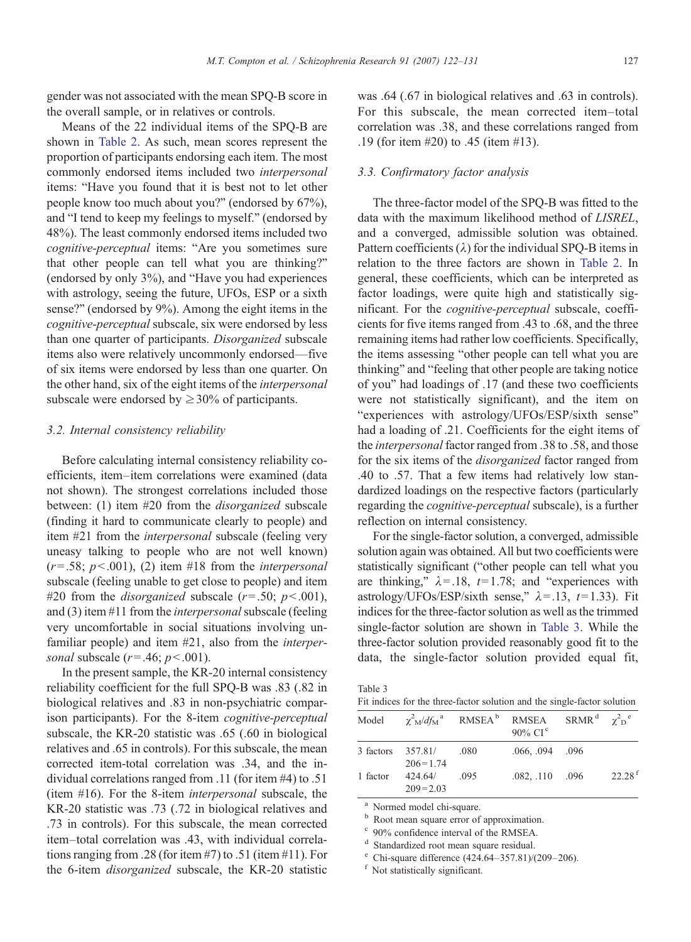gender was not associated with the mean SPQ-B score in the overall sample, or in relatives or controls.

Means of the 22 individual items of the SPQ-B are shown in [Table 2](#page-4-0). As such, mean scores represent the proportion of participants endorsing each item. The most commonly endorsed items included two interpersonal items: "Have you found that it is best not to let other people know too much about you?" (endorsed by 67%), and "I tend to keep my feelings to myself." (endorsed by 48%). The least commonly endorsed items included two cognitive-perceptual items: "Are you sometimes sure that other people can tell what you are thinking?" (endorsed by only 3%), and "Have you had experiences with astrology, seeing the future, UFOs, ESP or a sixth sense?" (endorsed by 9%). Among the eight items in the cognitive-perceptual subscale, six were endorsed by less than one quarter of participants. Disorganized subscale items also were relatively uncommonly endorsed—five of six items were endorsed by less than one quarter. On the other hand, six of the eight items of the interpersonal subscale were endorsed by  $\geq$  30% of participants.

#### 3.2. Internal consistency reliability

Before calculating internal consistency reliability coefficients, item–item correlations were examined (data not shown). The strongest correlations included those between: (1) item #20 from the disorganized subscale (finding it hard to communicate clearly to people) and item #21 from the interpersonal subscale (feeling very uneasy talking to people who are not well known)  $(r=.58; p<.001)$ , (2) item #18 from the *interpersonal* subscale (feeling unable to get close to people) and item #20 from the *disorganized* subscale  $(r=.50; p<.001)$ , and (3) item #11 from the *interpersonal* subscale (feeling very uncomfortable in social situations involving unfamiliar people) and item #21, also from the interpersonal subscale ( $r = .46$ ;  $p < .001$ ).

In the present sample, the KR-20 internal consistency reliability coefficient for the full SPQ-B was .83 (.82 in biological relatives and .83 in non-psychiatric comparison participants). For the 8-item cognitive-perceptual subscale, the KR-20 statistic was .65 (.60 in biological relatives and .65 in controls). For this subscale, the mean corrected item-total correlation was .34, and the individual correlations ranged from .11 (for item #4) to .51 (item #16). For the 8-item interpersonal subscale, the KR-20 statistic was .73 (.72 in biological relatives and .73 in controls). For this subscale, the mean corrected item–total correlation was .43, with individual correlations ranging from .28 (for item #7) to .51 (item #11). For the 6-item disorganized subscale, the KR-20 statistic

was .64 (.67 in biological relatives and .63 in controls). For this subscale, the mean corrected item–total correlation was .38, and these correlations ranged from .19 (for item #20) to .45 (item #13).

#### 3.3. Confirmatory factor analysis

The three-factor model of the SPQ-B was fitted to the data with the maximum likelihood method of LISREL, and a converged, admissible solution was obtained. Pattern coefficients  $(\lambda)$  for the individual SPQ-B items in relation to the three factors are shown in [Table 2](#page-4-0). In general, these coefficients, which can be interpreted as factor loadings, were quite high and statistically significant. For the cognitive-perceptual subscale, coefficients for five items ranged from .43 to .68, and the three remaining items had rather low coefficients. Specifically, the items assessing "other people can tell what you are thinking" and "feeling that other people are taking notice of you" had loadings of .17 (and these two coefficients were not statistically significant), and the item on "experiences with astrology/UFOs/ESP/sixth sense" had a loading of .21. Coefficients for the eight items of the interpersonal factor ranged from .38 to .58, and those for the six items of the disorganized factor ranged from .40 to .57. That a few items had relatively low standardized loadings on the respective factors (particularly regarding the cognitive-perceptual subscale), is a further reflection on internal consistency.

For the single-factor solution, a converged, admissible solution again was obtained. All but two coefficients were statistically significant ("other people can tell what you are thinking,"  $\lambda = 1.18$ ,  $t = 1.78$ ; and "experiences with astrology/UFOs/ESP/sixth sense,"  $\lambda$ =.13, t=1.33). Fit indices for the three-factor solution as well as the trimmed single-factor solution are shown in Table 3. While the three-factor solution provided reasonably good fit to the data, the single-factor solution provided equal fit,

| ×.<br>۰, |
|----------|
|----------|

Fit indices for the three-factor solution and the single-factor solution

| Model     |              |      | $\chi^2$ <sub>M</sub> /df <sub>M</sub> <sup>a</sup> RMSEA <sup>b</sup> RMSEA SRMR <sup>d</sup> $\chi^2$ <sub>D</sub> <sup>e</sup><br>$90\%$ CI <sup>c</sup> |      |                    |
|-----------|--------------|------|-------------------------------------------------------------------------------------------------------------------------------------------------------------|------|--------------------|
| 3 factors | 357.81/      | .080 | .066, .094 .096                                                                                                                                             |      |                    |
|           | $206 = 1.74$ |      |                                                                                                                                                             |      |                    |
| 1 factor  | 424.64/      | .095 | .082, .110                                                                                                                                                  | .096 | 22.28 <sup>1</sup> |
|           | $209 = 2.03$ |      |                                                                                                                                                             |      |                    |

<sup>a</sup> Normed model chi-square.<br><sup>b</sup> Root mean square error of approximation.<br>c 90% confidence interval of the RMSEA.<br>d Standardized root mean square residual.<br>e Chi-square difference  $(424.64-357.81)/(209-206)$ .

<sup>f</sup> Not statistically significant.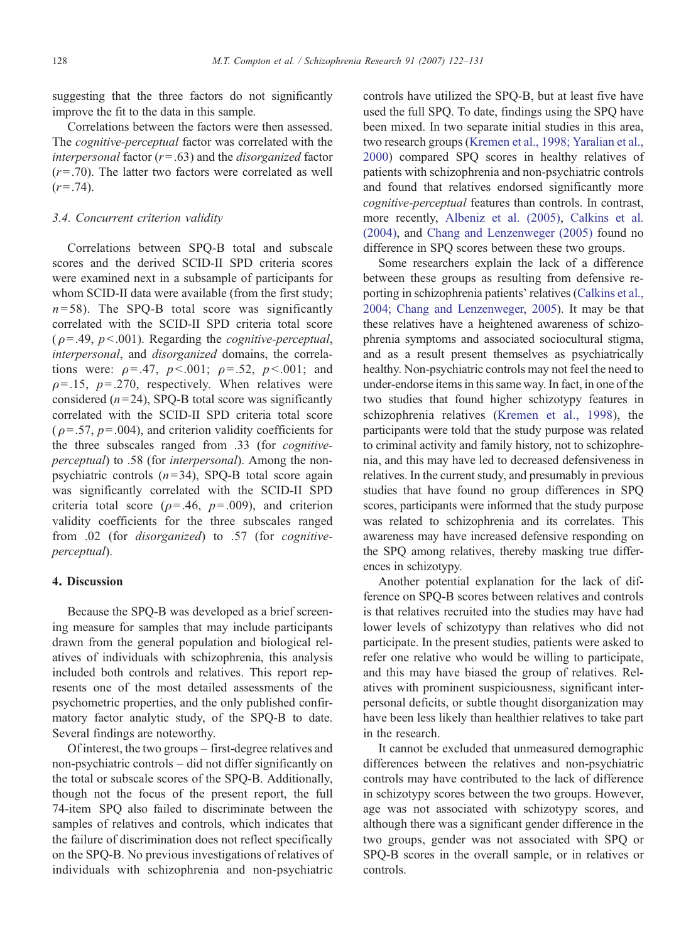suggesting that the three factors do not significantly improve the fit to the data in this sample.

Correlations between the factors were then assessed. The cognitive-perceptual factor was correlated with the interpersonal factor  $(r=.63)$  and the *disorganized* factor  $(r=.70)$ . The latter two factors were correlated as well  $(r=.74)$ .

# 3.4. Concurrent criterion validity

Correlations between SPQ-B total and subscale scores and the derived SCID-II SPD criteria scores were examined next in a subsample of participants for whom SCID-II data were available (from the first study;  $n = 58$ ). The SPQ-B total score was significantly correlated with the SCID-II SPD criteria total score  $(\rho = .49, p < .001)$ . Regarding the *cognitive-perceptual*, interpersonal, and disorganized domains, the correlations were:  $\rho = .47$ ,  $p < .001$ ;  $\rho = .52$ ,  $p < .001$ ; and  $\rho = 0.15$ ,  $p = 0.270$ , respectively. When relatives were considered  $(n=24)$ , SPQ-B total score was significantly correlated with the SCID-II SPD criteria total score  $(\rho = .57, p = .004)$ , and criterion validity coefficients for the three subscales ranged from .33 (for cognitiveperceptual) to .58 (for interpersonal). Among the nonpsychiatric controls  $(n=34)$ , SPQ-B total score again was significantly correlated with the SCID-II SPD criteria total score ( $\rho = .46$ ,  $p = .009$ ), and criterion validity coefficients for the three subscales ranged from .02 (for disorganized) to .57 (for cognitiveperceptual).

## 4. Discussion

Because the SPQ-B was developed as a brief screening measure for samples that may include participants drawn from the general population and biological relatives of individuals with schizophrenia, this analysis included both controls and relatives. This report represents one of the most detailed assessments of the psychometric properties, and the only published confirmatory factor analytic study, of the SPQ-B to date. Several findings are noteworthy.

Of interest, the two groups – first-degree relatives and non-psychiatric controls – did not differ significantly on the total or subscale scores of the SPQ-B. Additionally, though not the focus of the present report, the full 74-item SPQ also failed to discriminate between the samples of relatives and controls, which indicates that the failure of discrimination does not reflect specifically on the SPQ-B. No previous investigations of relatives of individuals with schizophrenia and non-psychiatric

controls have utilized the SPQ-B, but at least five have used the full SPQ. To date, findings using the SPQ have been mixed. In two separate initial studies in this area, two research groups ([Kremen et al., 1998; Yaralian et al.,](#page-9-0) [2000](#page-9-0)) compared SPQ scores in healthy relatives of patients with schizophrenia and non-psychiatric controls and found that relatives endorsed significantly more cognitive-perceptual features than controls. In contrast, more recently, [Albeniz et al. \(2005\),](#page-8-0) [Calkins et al.](#page-8-0) [\(2004\),](#page-8-0) and [Chang and Lenzenweger \(2005\)](#page-8-0) found no difference in SPQ scores between these two groups.

Some researchers explain the lack of a difference between these groups as resulting from defensive reporting in schizophrenia patients' relatives [\(Calkins et al.,](#page-8-0) [2004; Chang and Lenzenweger, 2005\)](#page-8-0). It may be that these relatives have a heightened awareness of schizophrenia symptoms and associated sociocultural stigma, and as a result present themselves as psychiatrically healthy. Non-psychiatric controls may not feel the need to under-endorse items in this same way. In fact, in one of the two studies that found higher schizotypy features in schizophrenia relatives [\(Kremen et al., 1998](#page-9-0)), the participants were told that the study purpose was related to criminal activity and family history, not to schizophrenia, and this may have led to decreased defensiveness in relatives. In the current study, and presumably in previous studies that have found no group differences in SPQ scores, participants were informed that the study purpose was related to schizophrenia and its correlates. This awareness may have increased defensive responding on the SPQ among relatives, thereby masking true differences in schizotypy.

Another potential explanation for the lack of difference on SPQ-B scores between relatives and controls is that relatives recruited into the studies may have had lower levels of schizotypy than relatives who did not participate. In the present studies, patients were asked to refer one relative who would be willing to participate, and this may have biased the group of relatives. Relatives with prominent suspiciousness, significant interpersonal deficits, or subtle thought disorganization may have been less likely than healthier relatives to take part in the research.

It cannot be excluded that unmeasured demographic differences between the relatives and non-psychiatric controls may have contributed to the lack of difference in schizotypy scores between the two groups. However, age was not associated with schizotypy scores, and although there was a significant gender difference in the two groups, gender was not associated with SPQ or SPQ-B scores in the overall sample, or in relatives or controls.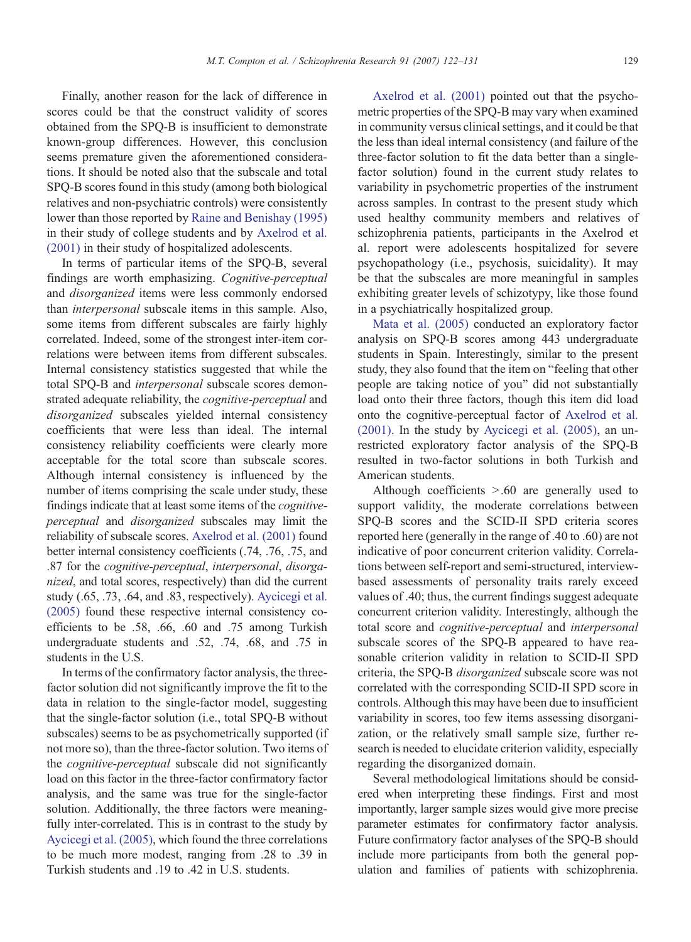Finally, another reason for the lack of difference in scores could be that the construct validity of scores obtained from the SPQ-B is insufficient to demonstrate known-group differences. However, this conclusion seems premature given the aforementioned considerations. It should be noted also that the subscale and total SPQ-B scores found in this study (among both biological relatives and non-psychiatric controls) were consistently lower than those reported by [Raine and Benishay \(1995\)](#page-9-0) in their study of college students and by [Axelrod et al.](#page-8-0) [\(2001\)](#page-8-0) in their study of hospitalized adolescents.

In terms of particular items of the SPQ-B, several findings are worth emphasizing. Cognitive-perceptual and disorganized items were less commonly endorsed than interpersonal subscale items in this sample. Also, some items from different subscales are fairly highly correlated. Indeed, some of the strongest inter-item correlations were between items from different subscales. Internal consistency statistics suggested that while the total SPQ-B and interpersonal subscale scores demonstrated adequate reliability, the cognitive-perceptual and disorganized subscales yielded internal consistency coefficients that were less than ideal. The internal consistency reliability coefficients were clearly more acceptable for the total score than subscale scores. Although internal consistency is influenced by the number of items comprising the scale under study, these findings indicate that at least some items of the cognitiveperceptual and disorganized subscales may limit the reliability of subscale scores. [Axelrod et al. \(2001\)](#page-8-0) found better internal consistency coefficients (.74, .76, .75, and .87 for the cognitive-perceptual, interpersonal, disorganized, and total scores, respectively) than did the current study (.65, .73, .64, and .83, respectively). [Aycicegi et al.](#page-8-0) [\(2005\)](#page-8-0) found these respective internal consistency coefficients to be .58, .66, .60 and .75 among Turkish undergraduate students and .52, .74, .68, and .75 in students in the U.S.

In terms of the confirmatory factor analysis, the threefactor solution did not significantly improve the fit to the data in relation to the single-factor model, suggesting that the single-factor solution (i.e., total SPQ-B without subscales) seems to be as psychometrically supported (if not more so), than the three-factor solution. Two items of the cognitive-perceptual subscale did not significantly load on this factor in the three-factor confirmatory factor analysis, and the same was true for the single-factor solution. Additionally, the three factors were meaningfully inter-correlated. This is in contrast to the study by [Aycicegi et al. \(2005\)](#page-8-0), which found the three correlations to be much more modest, ranging from .28 to .39 in Turkish students and .19 to .42 in U.S. students.

[Axelrod et al. \(2001\)](#page-8-0) pointed out that the psychometric properties of the SPQ-B may vary when examined in community versus clinical settings, and it could be that the less than ideal internal consistency (and failure of the three-factor solution to fit the data better than a singlefactor solution) found in the current study relates to variability in psychometric properties of the instrument across samples. In contrast to the present study which used healthy community members and relatives of schizophrenia patients, participants in the Axelrod et al. report were adolescents hospitalized for severe psychopathology (i.e., psychosis, suicidality). It may be that the subscales are more meaningful in samples exhibiting greater levels of schizotypy, like those found in a psychiatrically hospitalized group.

[Mata et al. \(2005\)](#page-9-0) conducted an exploratory factor analysis on SPQ-B scores among 443 undergraduate students in Spain. Interestingly, similar to the present study, they also found that the item on "feeling that other people are taking notice of you" did not substantially load onto their three factors, though this item did load onto the cognitive-perceptual factor of [Axelrod et al.](#page-8-0) [\(2001\)](#page-8-0). In the study by [Aycicegi et al. \(2005\),](#page-8-0) an unrestricted exploratory factor analysis of the SPQ-B resulted in two-factor solutions in both Turkish and American students.

Although coefficients  $> 0.60$  are generally used to support validity, the moderate correlations between SPQ-B scores and the SCID-II SPD criteria scores reported here (generally in the range of .40 to .60) are not indicative of poor concurrent criterion validity. Correlations between self-report and semi-structured, interviewbased assessments of personality traits rarely exceed values of .40; thus, the current findings suggest adequate concurrent criterion validity. Interestingly, although the total score and cognitive-perceptual and interpersonal subscale scores of the SPQ-B appeared to have reasonable criterion validity in relation to SCID-II SPD criteria, the SPQ-B disorganized subscale score was not correlated with the corresponding SCID-II SPD score in controls. Although this may have been due to insufficient variability in scores, too few items assessing disorganization, or the relatively small sample size, further research is needed to elucidate criterion validity, especially regarding the disorganized domain.

Several methodological limitations should be considered when interpreting these findings. First and most importantly, larger sample sizes would give more precise parameter estimates for confirmatory factor analysis. Future confirmatory factor analyses of the SPQ-B should include more participants from both the general population and families of patients with schizophrenia.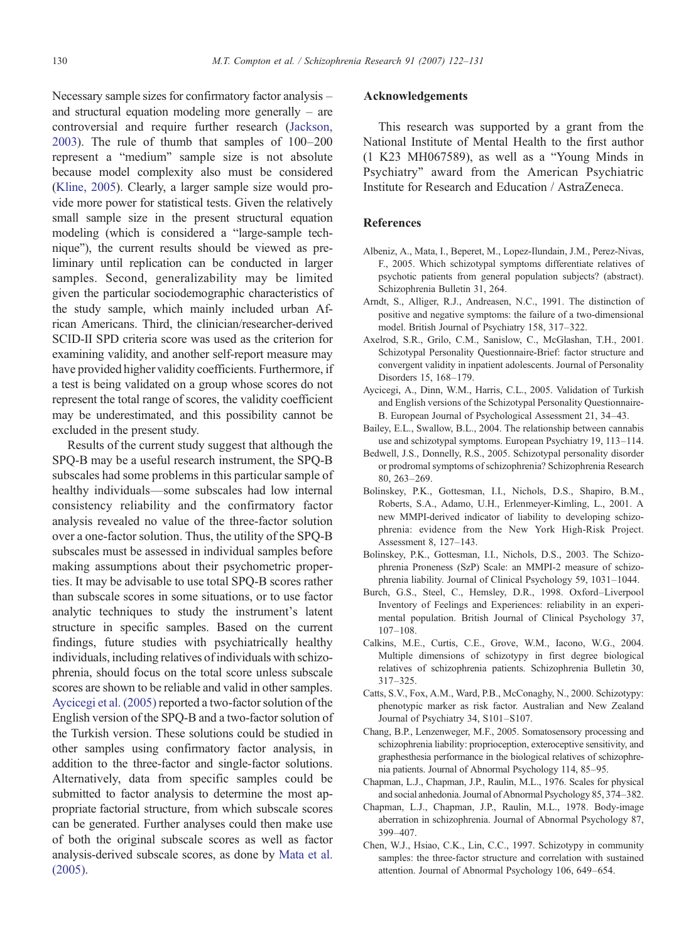<span id="page-8-0"></span>Necessary sample sizes for confirmatory factor analysis – and structural equation modeling more generally – are controversial and require further research [\(Jackson,](#page-9-0) [2003\)](#page-9-0). The rule of thumb that samples of 100–200 represent a "medium" sample size is not absolute because model complexity also must be considered [\(Kline, 2005](#page-9-0)). Clearly, a larger sample size would provide more power for statistical tests. Given the relatively small sample size in the present structural equation modeling (which is considered a "large-sample technique"), the current results should be viewed as preliminary until replication can be conducted in larger samples. Second, generalizability may be limited given the particular sociodemographic characteristics of the study sample, which mainly included urban African Americans. Third, the clinician/researcher-derived SCID-II SPD criteria score was used as the criterion for examining validity, and another self-report measure may have provided higher validity coefficients. Furthermore, if a test is being validated on a group whose scores do not represent the total range of scores, the validity coefficient may be underestimated, and this possibility cannot be excluded in the present study.

Results of the current study suggest that although the SPQ-B may be a useful research instrument, the SPQ-B subscales had some problems in this particular sample of healthy individuals—some subscales had low internal consistency reliability and the confirmatory factor analysis revealed no value of the three-factor solution over a one-factor solution. Thus, the utility of the SPQ-B subscales must be assessed in individual samples before making assumptions about their psychometric properties. It may be advisable to use total SPQ-B scores rather than subscale scores in some situations, or to use factor analytic techniques to study the instrument's latent structure in specific samples. Based on the current findings, future studies with psychiatrically healthy individuals, including relatives of individuals with schizophrenia, should focus on the total score unless subscale scores are shown to be reliable and valid in other samples. Aycicegi et al. (2005) reported a two-factor solution of the English version of the SPQ-B and a two-factor solution of the Turkish version. These solutions could be studied in other samples using confirmatory factor analysis, in addition to the three-factor and single-factor solutions. Alternatively, data from specific samples could be submitted to factor analysis to determine the most appropriate factorial structure, from which subscale scores can be generated. Further analyses could then make use of both the original subscale scores as well as factor analysis-derived subscale scores, as done by [Mata et al.](#page-9-0) [\(2005\)](#page-9-0).

#### Acknowledgements

This research was supported by a grant from the National Institute of Mental Health to the first author (1 K23 MH067589), as well as a "Young Minds in Psychiatry" award from the American Psychiatric Institute for Research and Education / AstraZeneca.

## References

- Albeniz, A., Mata, I., Beperet, M., Lopez-Ilundain, J.M., Perez-Nivas, F., 2005. Which schizotypal symptoms differentiate relatives of psychotic patients from general population subjects? (abstract). Schizophrenia Bulletin 31, 264.
- Arndt, S., Alliger, R.J., Andreasen, N.C., 1991. The distinction of positive and negative symptoms: the failure of a two-dimensional model. British Journal of Psychiatry 158, 317–322.
- Axelrod, S.R., Grilo, C.M., Sanislow, C., McGlashan, T.H., 2001. Schizotypal Personality Questionnaire-Brief: factor structure and convergent validity in inpatient adolescents. Journal of Personality Disorders 15, 168–179.
- Aycicegi, A., Dinn, W.M., Harris, C.L., 2005. Validation of Turkish and English versions of the Schizotypal Personality Questionnaire-B. European Journal of Psychological Assessment 21, 34–43.
- Bailey, E.L., Swallow, B.L., 2004. The relationship between cannabis use and schizotypal symptoms. European Psychiatry 19, 113–114.
- Bedwell, J.S., Donnelly, R.S., 2005. Schizotypal personality disorder or prodromal symptoms of schizophrenia? Schizophrenia Research 80, 263–269.
- Bolinskey, P.K., Gottesman, I.I., Nichols, D.S., Shapiro, B.M., Roberts, S.A., Adamo, U.H., Erlenmeyer-Kimling, L., 2001. A new MMPI-derived indicator of liability to developing schizophrenia: evidence from the New York High-Risk Project. Assessment 8, 127–143.
- Bolinskey, P.K., Gottesman, I.I., Nichols, D.S., 2003. The Schizophrenia Proneness (SzP) Scale: an MMPI-2 measure of schizophrenia liability. Journal of Clinical Psychology 59, 1031–1044.
- Burch, G.S., Steel, C., Hemsley, D.R., 1998. Oxford–Liverpool Inventory of Feelings and Experiences: reliability in an experimental population. British Journal of Clinical Psychology 37, 107–108.
- Calkins, M.E., Curtis, C.E., Grove, W.M., Iacono, W.G., 2004. Multiple dimensions of schizotypy in first degree biological relatives of schizophrenia patients. Schizophrenia Bulletin 30, 317–325.
- Catts, S.V., Fox, A.M., Ward, P.B., McConaghy, N., 2000. Schizotypy: phenotypic marker as risk factor. Australian and New Zealand Journal of Psychiatry 34, S101–S107.
- Chang, B.P., Lenzenweger, M.F., 2005. Somatosensory processing and schizophrenia liability: proprioception, exteroceptive sensitivity, and graphesthesia performance in the biological relatives of schizophrenia patients. Journal of Abnormal Psychology 114, 85–95.
- Chapman, L.J., Chapman, J.P., Raulin, M.L., 1976. Scales for physical and social anhedonia. Journal of Abnormal Psychology 85, 374–382.
- Chapman, L.J., Chapman, J.P., Raulin, M.L., 1978. Body-image aberration in schizophrenia. Journal of Abnormal Psychology 87, 399–407.
- Chen, W.J., Hsiao, C.K., Lin, C.C., 1997. Schizotypy in community samples: the three-factor structure and correlation with sustained attention. Journal of Abnormal Psychology 106, 649–654.